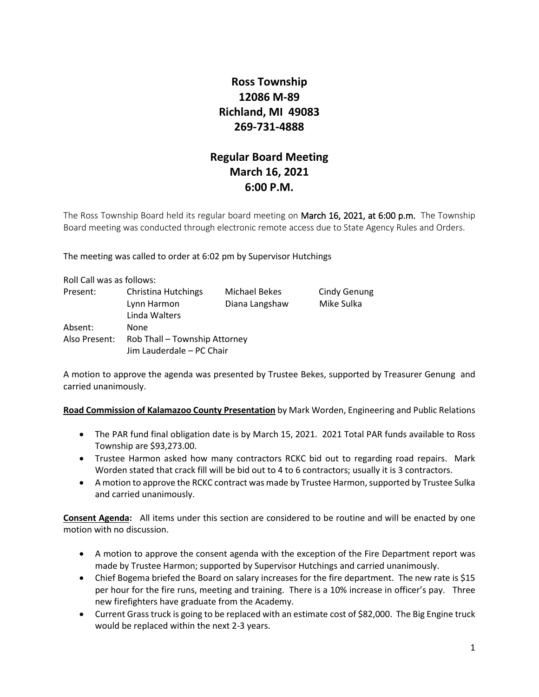# **Ross Township 12086 M-89 Richland, MI 49083 269-731-4888**

# **Regular Board Meeting March 16, 2021 6:00 P.M.**

The Ross Township Board held its regular board meeting on March 16, 2021, at 6:00 p.m. The Township Board meeting was conducted through electronic remote access due to State Agency Rules and Orders.

The meeting was called to order at 6:02 pm by Supervisor Hutchings

| Roll Call was as follows: |                                                     |                                 |                                   |
|---------------------------|-----------------------------------------------------|---------------------------------|-----------------------------------|
| Present:                  | Christina Hutchings<br>Lynn Harmon<br>Linda Walters | Michael Bekes<br>Diana Langshaw | <b>Cindy Genung</b><br>Mike Sulka |
| Absent:                   | None                                                |                                 |                                   |
| Also Present:             | Rob Thall - Township Attorney                       |                                 |                                   |
|                           | Jim Lauderdale - PC Chair                           |                                 |                                   |

A motion to approve the agenda was presented by Trustee Bekes, supported by Treasurer Genung and carried unanimously.

**Road Commission of Kalamazoo County Presentation** by Mark Worden, Engineering and Public Relations

- The PAR fund final obligation date is by March 15, 2021. 2021 Total PAR funds available to Ross Township are \$93,273.00.
- Trustee Harmon asked how many contractors RCKC bid out to regarding road repairs. Mark Worden stated that crack fill will be bid out to 4 to 6 contractors; usually it is 3 contractors.
- A motion to approve the RCKC contract was made by Trustee Harmon, supported by Trustee Sulka and carried unanimously.

**Consent Agenda:** All items under this section are considered to be routine and will be enacted by one motion with no discussion.

- A motion to approve the consent agenda with the exception of the Fire Department report was made by Trustee Harmon; supported by Supervisor Hutchings and carried unanimously.
- Chief Bogema briefed the Board on salary increases for the fire department. The new rate is \$15 per hour for the fire runs, meeting and training. There is a 10% increase in officer's pay. Three new firefighters have graduate from the Academy.
- Current Grass truck is going to be replaced with an estimate cost of \$82,000. The Big Engine truck would be replaced within the next 2-3 years.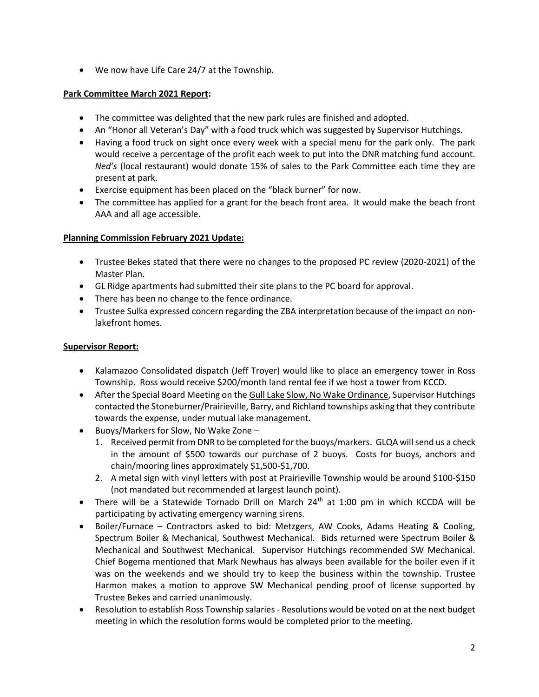• We now have Life Care 24/7 at the Township.

## **Park Committee March 2021 Report:**

- The committee was delighted that the new park rules are finished and adopted.
- An "Honor all Veteran's Day" with a food truck which was suggested by Supervisor Hutchings.
- Having a food truck on sight once every week with a special menu for the park only. The park would receive a percentage of the profit each week to put into the DNR matching fund account. *Ned's* (local restaurant) would donate 15% of sales to the Park Committee each time they are present at park.
- Exercise equipment has been placed on the "black burner" for now.
- The committee has applied for a grant for the beach front area. It would make the beach front AAA and all age accessible.

## **Planning Commission February 2021 Update:**

- Trustee Bekes stated that there were no changes to the proposed PC review (2020-2021) of the Master Plan.
- GL Ridge apartments had submitted their site plans to the PC board for approval.
- There has been no change to the fence ordinance.
- Trustee Sulka expressed concern regarding the ZBA interpretation because of the impact on nonlakefront homes.

## **Supervisor Report:**

- Kalamazoo Consolidated dispatch (Jeff Troyer) would like to place an emergency tower in Ross Township. Ross would receive \$200/month land rental fee if we host a tower from KCCD.
- After the Special Board Meeting on the Gull Lake Slow, No Wake Ordinance, Supervisor Hutchings contacted the Stoneburner/Prairieville, Barry, and Richland townships asking that they contribute towards the expense, under mutual lake management.
- Buoys/Markers for Slow, No Wake Zone
	- 1. Received permit from DNR to be completed for the buoys/markers. GLQA will send us a check in the amount of \$500 towards our purchase of 2 buoys. Costs for buoys, anchors and chain/mooring lines approximately \$1,500-\$1,700.
	- 2. A metal sign with vinyl letters with post at Prairieville Township would be around \$100-\$150 (not mandated but recommended at largest launch point).
- There will be a Statewide Tornado Drill on March 24<sup>th</sup> at 1:00 pm in which KCCDA will be participating by activating emergency warning sirens.
- Boiler/Furnace Contractors asked to bid: Metzgers, AW Cooks, Adams Heating & Cooling, Spectrum Boiler & Mechanical, Southwest Mechanical. Bids returned were Spectrum Boiler & Mechanical and Southwest Mechanical. Supervisor Hutchings recommended SW Mechanical. Chief Bogema mentioned that Mark Newhaus has always been available for the boiler even if it was on the weekends and we should try to keep the business within the township. Trustee Harmon makes a motion to approve SW Mechanical pending proof of license supported by Trustee Bekes and carried unanimously.
- Resolution to establish Ross Township salaries- Resolutions would be voted on at the next budget meeting in which the resolution forms would be completed prior to the meeting.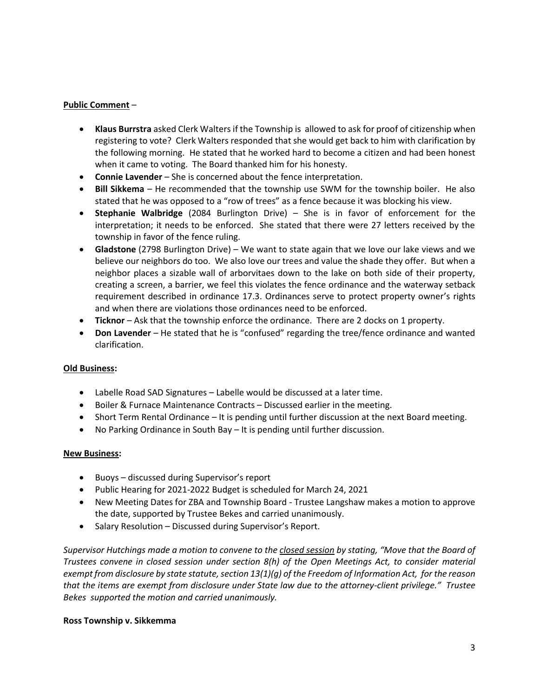### **Public Comment** –

- **Klaus Burrstra** asked Clerk Walters if the Township is allowed to ask for proof of citizenship when registering to vote? Clerk Walters responded that she would get back to him with clarification by the following morning. He stated that he worked hard to become a citizen and had been honest when it came to voting. The Board thanked him for his honesty.
- **Connie Lavender** She is concerned about the fence interpretation.
- **Bill Sikkema** He recommended that the township use SWM for the township boiler. He also stated that he was opposed to a "row of trees" as a fence because it was blocking his view.
- **Stephanie Walbridge** (2084 Burlington Drive) She is in favor of enforcement for the interpretation; it needs to be enforced. She stated that there were 27 letters received by the township in favor of the fence ruling.
- **Gladstone** (2798 Burlington Drive) We want to state again that we love our lake views and we believe our neighbors do too. We also love our trees and value the shade they offer. But when a neighbor places a sizable wall of arborvitaes down to the lake on both side of their property, creating a screen, a barrier, we feel this violates the fence ordinance and the waterway setback requirement described in ordinance 17.3. Ordinances serve to protect property owner's rights and when there are violations those ordinances need to be enforced.
- **Ticknor**  Ask that the township enforce the ordinance. There are 2 docks on 1 property.
- **Don Lavender** He stated that he is "confused" regarding the tree/fence ordinance and wanted clarification.

### **Old Business:**

- Labelle Road SAD Signatures Labelle would be discussed at a later time.
- Boiler & Furnace Maintenance Contracts Discussed earlier in the meeting.
- Short Term Rental Ordinance It is pending until further discussion at the next Board meeting.
- No Parking Ordinance in South Bay It is pending until further discussion.

### **New Business:**

- Buoys discussed during Supervisor's report
- Public Hearing for 2021-2022 Budget is scheduled for March 24, 2021
- New Meeting Dates for ZBA and Township Board Trustee Langshaw makes a motion to approve the date, supported by Trustee Bekes and carried unanimously.
- Salary Resolution Discussed during Supervisor's Report.

*Supervisor Hutchings made a motion to convene to the closed session by stating, "Move that the Board of Trustees convene in closed session under section 8(h) of the Open Meetings Act, to consider material exempt from disclosure by state statute, section 13(1)(g) of the Freedom of Information Act, for the reason that the items are exempt from disclosure under State law due to the attorney-client privilege." Trustee Bekes supported the motion and carried unanimously.* 

### **Ross Township v. Sikkemma**